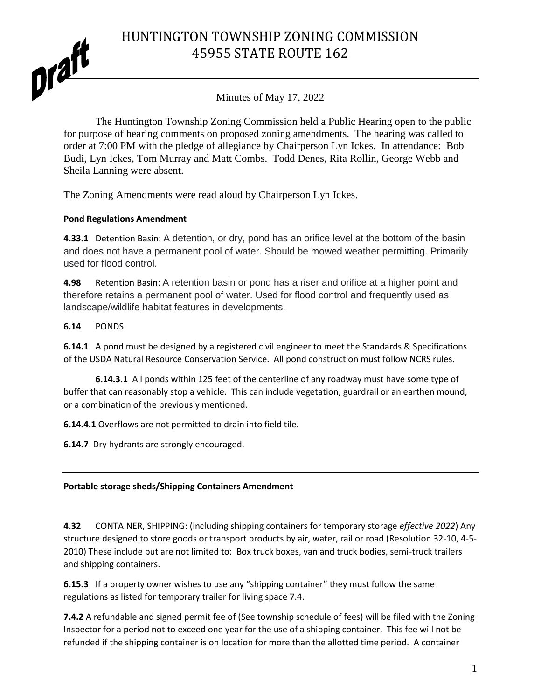HUNTINGTON TOWNSHIP ZONING COMMISSION 45955 STATE ROUTE 162



Minutes of May 17, 2022

The Huntington Township Zoning Commission held a Public Hearing open to the public for purpose of hearing comments on proposed zoning amendments. The hearing was called to order at 7:00 PM with the pledge of allegiance by Chairperson Lyn Ickes. In attendance: Bob Budi, Lyn Ickes, Tom Murray and Matt Combs. Todd Denes, Rita Rollin, George Webb and Sheila Lanning were absent.

The Zoning Amendments were read aloud by Chairperson Lyn Ickes.

## **Pond Regulations Amendment**

**4.33.1** Detention Basin: A detention, or dry, pond has an orifice level at the bottom of the basin and does not have a permanent pool of water. Should be mowed weather permitting. Primarily used for flood control.

**4.98** Retention Basin: A retention basin or pond has a riser and orifice at a higher point and therefore retains a permanent pool of water. Used for flood control and frequently used as landscape/wildlife habitat features in developments.

## **6.14** PONDS

**6.14.1** A pond must be designed by a registered civil engineer to meet the Standards & Specifications of the USDA Natural Resource Conservation Service. All pond construction must follow NCRS rules.

**6.14.3.1** All ponds within 125 feet of the centerline of any roadway must have some type of buffer that can reasonably stop a vehicle. This can include vegetation, guardrail or an earthen mound, or a combination of the previously mentioned.

**6.14.4.1** Overflows are not permitted to drain into field tile.

**6.14.7** Dry hydrants are strongly encouraged.

#### **Portable storage sheds/Shipping Containers Amendment**

**4.32** CONTAINER, SHIPPING: (including shipping containers for temporary storage *effective 2022*) Any structure designed to store goods or transport products by air, water, rail or road (Resolution 32-10, 4-5- 2010) These include but are not limited to: Box truck boxes, van and truck bodies, semi-truck trailers and shipping containers.

**6.15.3** If a property owner wishes to use any "shipping container" they must follow the same regulations as listed for temporary trailer for living space 7.4.

**7.4.2** A refundable and signed permit fee of (See township schedule of fees) will be filed with the Zoning Inspector for a period not to exceed one year for the use of a shipping container. This fee will not be refunded if the shipping container is on location for more than the allotted time period. A container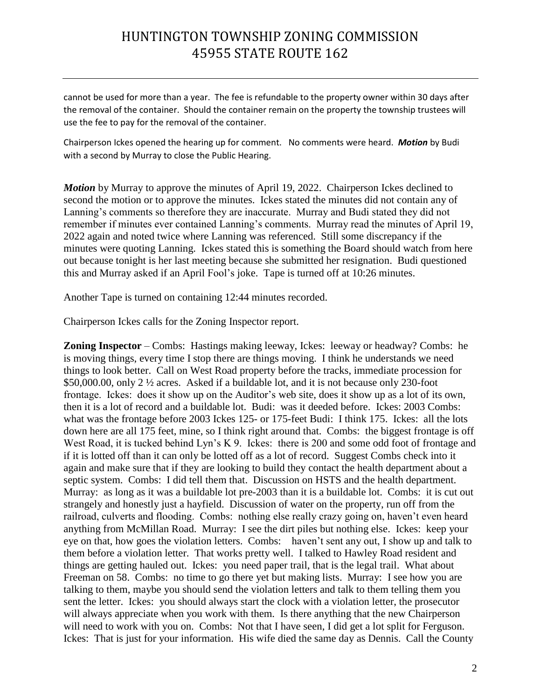# HUNTINGTON TOWNSHIP ZONING COMMISSION 45955 STATE ROUTE 162

cannot be used for more than a year. The fee is refundable to the property owner within 30 days after the removal of the container. Should the container remain on the property the township trustees will use the fee to pay for the removal of the container.

Chairperson Ickes opened the hearing up for comment. No comments were heard. *Motion* by Budi with a second by Murray to close the Public Hearing.

*Motion* by Murray to approve the minutes of April 19, 2022. Chairperson Ickes declined to second the motion or to approve the minutes. Ickes stated the minutes did not contain any of Lanning's comments so therefore they are inaccurate. Murray and Budi stated they did not remember if minutes ever contained Lanning's comments. Murray read the minutes of April 19, 2022 again and noted twice where Lanning was referenced. Still some discrepancy if the minutes were quoting Lanning. Ickes stated this is something the Board should watch from here out because tonight is her last meeting because she submitted her resignation. Budi questioned this and Murray asked if an April Fool's joke. Tape is turned off at 10:26 minutes.

Another Tape is turned on containing 12:44 minutes recorded.

Chairperson Ickes calls for the Zoning Inspector report.

**Zoning Inspector** – Combs: Hastings making leeway, Ickes: leeway or headway? Combs: he is moving things, every time I stop there are things moving. I think he understands we need things to look better. Call on West Road property before the tracks, immediate procession for \$50,000.00, only 2 ½ acres. Asked if a buildable lot, and it is not because only 230-foot frontage. Ickes: does it show up on the Auditor's web site, does it show up as a lot of its own, then it is a lot of record and a buildable lot. Budi: was it deeded before. Ickes: 2003 Combs: what was the frontage before 2003 Ickes 125- or 175-feet Budi: I think 175. Ickes: all the lots down here are all 175 feet, mine, so I think right around that. Combs: the biggest frontage is off West Road, it is tucked behind Lyn's K 9. Ickes: there is 200 and some odd foot of frontage and if it is lotted off than it can only be lotted off as a lot of record. Suggest Combs check into it again and make sure that if they are looking to build they contact the health department about a septic system. Combs: I did tell them that. Discussion on HSTS and the health department. Murray: as long as it was a buildable lot pre-2003 than it is a buildable lot. Combs: it is cut out strangely and honestly just a hayfield. Discussion of water on the property, run off from the railroad, culverts and flooding. Combs: nothing else really crazy going on, haven't even heard anything from McMillan Road. Murray: I see the dirt piles but nothing else. Ickes: keep your eye on that, how goes the violation letters. Combs: haven't sent any out, I show up and talk to them before a violation letter. That works pretty well. I talked to Hawley Road resident and things are getting hauled out. Ickes: you need paper trail, that is the legal trail. What about Freeman on 58. Combs: no time to go there yet but making lists. Murray: I see how you are talking to them, maybe you should send the violation letters and talk to them telling them you sent the letter. Ickes: you should always start the clock with a violation letter, the prosecutor will always appreciate when you work with them. Is there anything that the new Chairperson will need to work with you on. Combs: Not that I have seen, I did get a lot split for Ferguson. Ickes: That is just for your information. His wife died the same day as Dennis. Call the County